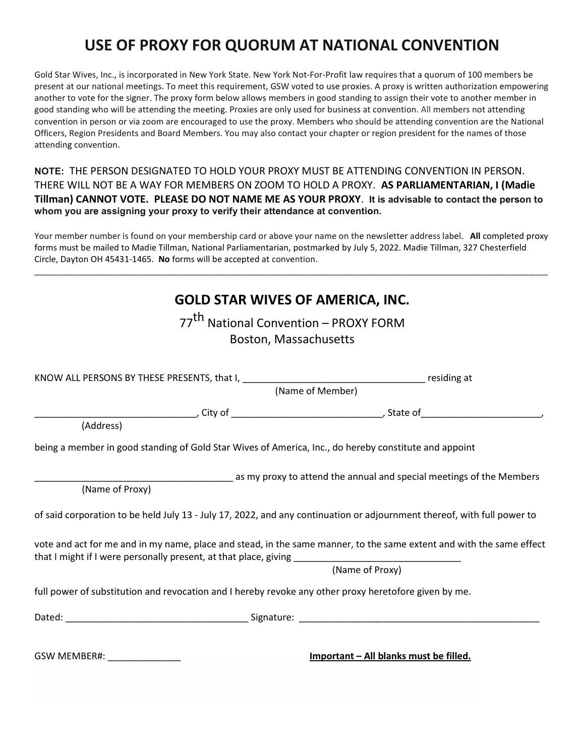## USE OF PROXY FOR QUORUM AT NATIONAL CONVENTION

Gold Star Wives, Inc., is incorporated in New York State. New York Not-For-Profit law requires that a quorum of 100 members be present at our national meetings. To meet this requirement, GSW voted to use proxies. A proxy is written authorization empowering another to vote for the signer. The proxy form below allows members in good standing to assign their vote to another member in good standing who will be attending the meeting. Proxies are only used for business at convention. All members not attending convention in person or via zoom are encouraged to use the proxy. Members who should be attending convention are the National Officers, Region Presidents and Board Members. You may also contact your chapter or region president for the names of those attending convention.

NOTE: THE PERSON DESIGNATED TO HOLD YOUR PROXY MUST BE ATTENDING CONVENTION IN PERSON. THERE WILL NOT BE A WAY FOR MEMBERS ON ZOOM TO HOLD A PROXY. AS PARLIAMENTARIAN, I (Madie Tillman) CANNOT VOTE. PLEASE DO NOT NAME ME AS YOUR PROXY. It is advisable to contact the person to whom you are assigning your proxy to verify their attendance at convention.

Your member number is found on your membership card or above your name on the newsletter address label. All completed proxy forms must be mailed to Madie Tillman, National Parliamentarian, postmarked by July 5, 2022. Madie Tillman, 327 Chesterfield Circle, Dayton OH 45431-1465. No forms will be accepted at convention.

\_\_\_\_\_\_\_\_\_\_\_\_\_\_\_\_\_\_\_\_\_\_\_\_\_\_\_\_\_\_\_\_\_\_\_\_\_\_\_\_\_\_\_\_\_\_\_\_\_\_\_\_\_\_\_\_\_\_\_\_\_\_\_\_\_\_\_\_\_\_\_\_\_\_\_\_\_\_\_\_\_\_\_\_\_\_\_\_\_\_\_\_\_\_\_\_\_\_\_\_\_\_\_\_\_\_\_\_

| <b>GOLD STAR WIVES OF AMERICA, INC.</b><br>77 <sup>th</sup> National Convention - PROXY FORM                                                                                                                                 |                  |                                                                      |
|------------------------------------------------------------------------------------------------------------------------------------------------------------------------------------------------------------------------------|------------------|----------------------------------------------------------------------|
|                                                                                                                                                                                                                              |                  |                                                                      |
|                                                                                                                                                                                                                              |                  |                                                                      |
|                                                                                                                                                                                                                              | (Name of Member) |                                                                      |
|                                                                                                                                                                                                                              |                  |                                                                      |
|                                                                                                                                                                                                                              |                  |                                                                      |
| (Address)                                                                                                                                                                                                                    |                  |                                                                      |
| being a member in good standing of Gold Star Wives of America, Inc., do hereby constitute and appoint                                                                                                                        |                  |                                                                      |
|                                                                                                                                                                                                                              |                  | as my proxy to attend the annual and special meetings of the Members |
| (Name of Proxy)                                                                                                                                                                                                              |                  |                                                                      |
| of said corporation to be held July 13 - July 17, 2022, and any continuation or adjournment thereof, with full power to                                                                                                      |                  |                                                                      |
| vote and act for me and in my name, place and stead, in the same manner, to the same extent and with the same effect<br>that I might if I were personally present, at that place, giving ___________________________________ |                  |                                                                      |
|                                                                                                                                                                                                                              | (Name of Proxy)  |                                                                      |
| full power of substitution and revocation and I hereby revoke any other proxy heretofore given by me.                                                                                                                        |                  |                                                                      |
|                                                                                                                                                                                                                              |                  |                                                                      |
| <b>GSW MEMBER#:</b>                                                                                                                                                                                                          |                  | Important - All blanks must be filled.                               |